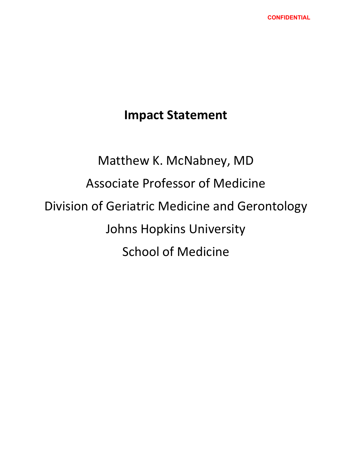# **Impact Statement**

# Matthew K. McNabney, MD Associate Professor of Medicine Division of Geriatric Medicine and Gerontology Johns Hopkins University School of Medicine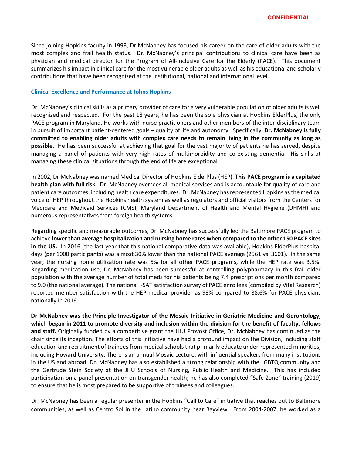Since joining Hopkins faculty in 1998, Dr McNabney has focused his career on the care of older adults with the most complex and frail health status. Dr. McNabney's principal contributions to clinical care have been as physician and medical director for the Program of All-Inclusive Care for the Elderly (PACE). This document summarizes his impact in clinical care for the most vulnerable older adults as well as his educational and scholarly contributions that have been recognized at the institutional, national and international level.

# **Clinical Excellence and Performance at Johns Hopkins**

Dr. McNabney's clinical skills as a primary provider of care for a very vulnerable population of older adults is well recognized and respected. For the past 18 years, he has been the sole physician at Hopkins ElderPlus, the only PACE program in Maryland. He works with nurse practitioners and other members of the inter-disciplinary team in pursuit of important patient-centered goals – quality of life and autonomy. Specifically, **Dr. McNabney is fully committed to enabling older adults with complex care needs to remain living in the community as long as possible.** He has been successful at achieving that goal for the vast majority of patients he has served, despite managing a panel of patients with very high rates of multimorbidity and co-existing dementia. His skills at managing these clinical situations through the end of life are exceptional.

In 2002, Dr McNabney was named Medical Director of Hopkins ElderPlus (HEP). **This PACE program is a capitated health plan with full risk.** Dr. McNabney oversees all medical services and is accountable for quality of care and patient care outcomes, including health care expenditures. Dr. McNabney has represented Hopkins as the medical voice of HEP throughout the Hopkins health system as well as regulators and official visitors from the Centers for Medicare and Medicaid Services (CMS), Maryland Department of Health and Mental Hygiene (DHMH) and numerous representatives from foreign health systems.

Regarding specific and measurable outcomes, Dr. McNabney has successfully led the Baltimore PACE program to achieve **lower than average hospitalization and nursing home rates when compared to the other 150 PACE sites in the US.** In 2016 (the last year that this national comparative data was available), Hopkins ElderPlus hospital days (per 1000 participants) was almost 30% lower than the national PACE average (2561 vs. 3601). In the same year, the nursing home utilization rate was 5% for all other PACE programs, while the HEP rate was 3.5%. Regarding medication use, Dr. McNabney has been successful at controlling polypharmacy in this frail older population with the average number of total meds for his patients being 7.4 prescriptions per month compared to 9.0 (the national average). The national I-SAT satisfaction survey of PACE enrollees (compiled by Vital Research) reported member satisfaction with the HEP medical provider as 93% compared to 88.6% for PACE physicians nationally in 2019.

**Dr McNabney was the Principle Investigator of the Mosaic Initiative in Geriatric Medicine and Gerontology, which began in 2011 to promote diversity and inclusion within the division for the benefit of faculty, fellows and staff.** Originally funded by a competitive grant the JHU Provost Office, Dr. McNabney has continued as the chair since its inception. The efforts of this initiative have had a profound impact on the Division, including staff education and recruitment of trainees from medical schools that primarily educate under-represented minorities, including Howard University. There is an annual Mosaic Lecture, with influential speakers from many institutions in the US and abroad. Dr. McNabney has also established a strong relationship with the LGBTQ community and the Gertrude Stein Society at the JHU Schools of Nursing, Public Health and Medicine. This has included participation on a panel presentation on transgender health; he has also completed "Safe Zone" training (2019) to ensure that he is most prepared to be supportive of trainees and colleagues.

Dr. McNabney has been a regular presenter in the Hopkins "Call to Care" initiative that reaches out to Baltimore communities, as well as Centro Sol in the Latino community near Bayview. From 2004-2007, he worked as a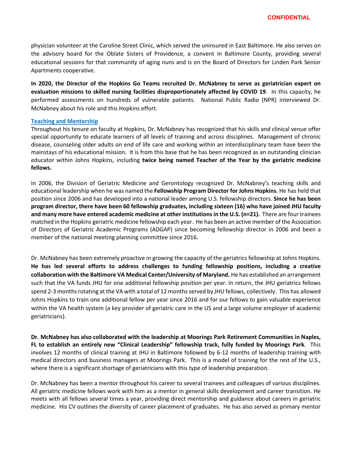physician volunteer at the Caroline Street Clinic, which served the uninsured in East Baltimore. He also serves on the advisory board for the Oblate Sisters of Providence, a convent in Baltimore County, providing several educational sessions for that community of aging nuns and is on the Board of Directors for Linden Park Senior Apartments cooperative.

**In 2020, the Director of the Hopkins Go Teams recruited Dr. McNabney to serve as geriatrician expert on evaluation missions to skilled nursing facilities disproportionately affected by COVID 19**. In this capacity, he performed assessments on hundreds of vulnerable patients. National Public Radio (NPR) interviewed Dr. McNabney about his role and this Hopkins effort.

#### **Teaching and Mentorship**

Throughout his tenure on faculty at Hopkins, Dr. McNabney has recognized that his skills and clinical venue offer special opportunity to educate learners of all levels of training and across disciplines. Management of chronic disease, counseling older adults on end of life care and working within an interdisciplinary team have been the mainstays of his educational mission. It is from this base that he has been recognized as an outstanding clinician educator within Johns Hopkins, including **twice being named Teacher of the Year by the geriatric medicine fellows.**

In 2006, the Division of Geriatric Medicine and Gerontology recognized Dr. McNabney's teaching skills and educational leadership when he was named the **Fellowship Program Director for Johns Hopkins**. He has held that position since 2006 and has developed into a national leader among U.S. fellowship directors. **Since he has been program director, there have been 60 fellowship graduates, including sixteen (16) who have joined JHU faculty and many more have entered academic medicine at other institutions in the U.S. (n=21).** There are four trainees matched in the Hopkins geriatric medicine fellowship each year. He has been an active member of the Association of Directors of Geriatric Academic Programs (ADGAP) since becoming fellowship director in 2006 and been a member of the national meeting planning committee since 2016.

Dr. McNabney has been extremely proactive in growing the capacity of the geriatrics fellowship at Johns Hopkins. **He has led several efforts to address challenges to funding fellowship positions, including a creative collaboration with the Baltimore VA Medical Center/University of Maryland.** He has established an arrangement such that the VA funds JHU for one additional fellowship position per year. In return, the JHU geriatrics fellows spend 2-3 months rotating at the VA with a total of 12 months served by JHU fellows, collectively. This has allowed Johns Hopkins to train one additional fellow per year since 2016 and for our fellows to gain valuable experience within the VA health system (a key provider of geriatric care in the US and a large volume employer of academic geriatricians).

**Dr. McNabney has also collaborated with the leadership at Moorings Park Retirement Communities in Naples, FL to establish an entirely new "Clinical Leadership" fellowship track, fully funded by Moorings Park**. This involves 12 months of clinical training at JHU in Baltimore followed by 6-12 months of leadership training with medical directors and business managers at Moorings Park. This is a model of training for the rest of the U.S., where there is a significant shortage of geriatricians with this type of leadership preparation.

Dr. McNabney has been a mentor throughout his career to several trainees and colleagues of various disciplines. All geriatric medicine fellows work with him as a mentor in general skills development and career transition. He meets with all fellows several times a year, providing direct mentorship and guidance about careers in geriatric medicine. His CV outlines the diversity of career placement of graduates. He has also served as primary mentor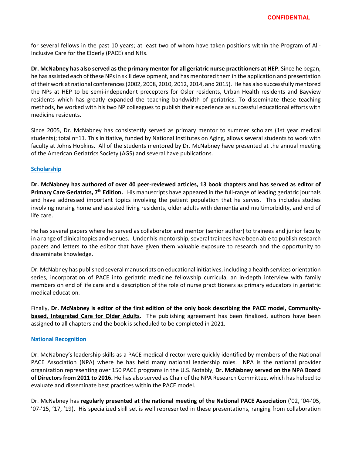for several fellows in the past 10 years; at least two of whom have taken positions within the Program of All-Inclusive Care for the Elderly (PACE) and NHs.

**Dr. McNabney has also served as the primary mentor for all geriatric nurse practitioners at HEP**. Since he began, he has assisted each of these NPs in skill development, and has mentored them in the application and presentation of their work at national conferences (2002, 2008, 2010, 2012, 2014, and 2015). He has also successfully mentored the NPs at HEP to be semi-independent preceptors for Osler residents, Urban Health residents and Bayview residents which has greatly expanded the teaching bandwidth of geriatrics. To disseminate these teaching methods, he worked with his two NP colleagues to publish their experience as successful educational efforts with medicine residents.

Since 2005, Dr. McNabney has consistently served as primary mentor to summer scholars (1st year medical students); total n=11. This initiative, funded by National Institutes on Aging, allows several students to work with faculty at Johns Hopkins. All of the students mentored by Dr. McNabney have presented at the annual meeting of the American Geriatrics Society (AGS) and several have publications.

# **Scholarship**

**Dr. McNabney has authored of over 40 peer-reviewed articles, 13 book chapters and has served as editor of Primary Care Geriatrics, 7th Edition.** His manuscripts have appeared in the full-range of leading geriatric journals and have addressed important topics involving the patient population that he serves. This includes studies involving nursing home and assisted living residents, older adults with dementia and multimorbidity, and end of life care.

He has several papers where he served as collaborator and mentor (senior author) to trainees and junior faculty in a range of clinical topics and venues. Under his mentorship, several trainees have been able to publish research papers and letters to the editor that have given them valuable exposure to research and the opportunity to disseminate knowledge.

Dr. McNabney has published several manuscripts on educational initiatives, including a health services orientation series, incorporation of PACE into geriatric medicine fellowship curricula, an in-depth interview with family members on end of life care and a description of the role of nurse practitioners as primary educators in geriatric medical education.

Finally, **Dr. McNabney is editor of the first edition of the only book describing the PACE model, Communitybased, Integrated Care for Older Adults.** The publishing agreement has been finalized, authors have been assigned to all chapters and the book is scheduled to be completed in 2021.

# **National Recognition**

Dr. McNabney's leadership skills as a PACE medical director were quickly identified by members of the National PACE Association (NPA) where he has held many national leadership roles. NPA is the national provider organization representing over 150 PACE programs in the U.S. Notably, **Dr. McNabney served on the NPA Board of Directors from 2011 to 2016.** He has also served as Chair of the NPA Research Committee, which has helped to evaluate and disseminate best practices within the PACE model.

Dr. McNabney has **regularly presented at the national meeting of the National PACE Association** ('02, '04-'05, '07-'15, '17, '19). His specialized skill set is well represented in these presentations, ranging from collaboration